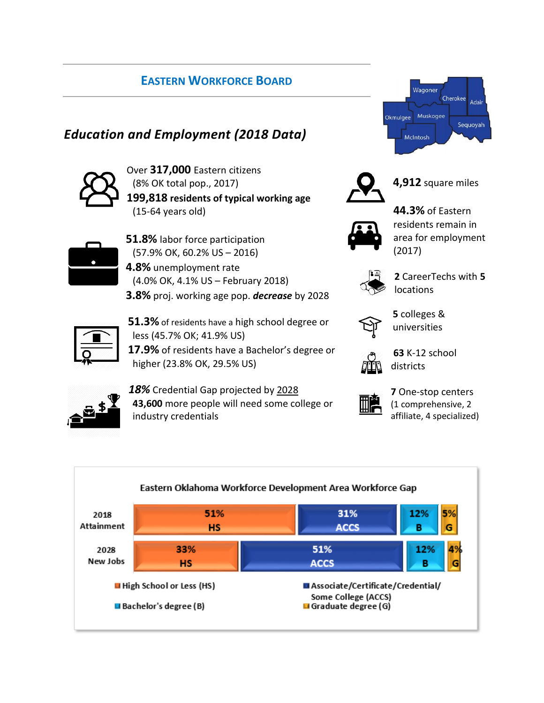### **EASTERN WORKFORCE BOARD**

# *Education and Employment (2018 Data)*



Over **317,000** Eastern citizens (8% OK total pop., 2017) **199,818 residents of typical working age** (15-64 years old)



- **51.8%** labor force participation (57.9% OK, 60.2% US – 2016)
- **4.8%** unemployment rate (4.0% OK, 4.1% US – February 2018) **3.8%** proj. working age pop. *decrease* by 2028
- 
- **51.3%** of residents have a high school degree or less (45.7% OK; 41.9% US)

**17.9%** of residents have a Bachelor's degree or higher (23.8% OK, 29.5% US)





**4,912** square miles



**44.3%** of Eastern residents remain in area for employment (2017)



**2** CareerTechs with **5** locations



**5** colleges & universities



**63** K-12 school districts



*18%* Credential Gap projected by 2028 **43,600** more people will need some college or industry credentials



**7** One-stop centers (1 comprehensive, 2 affiliate, 4 specialized)